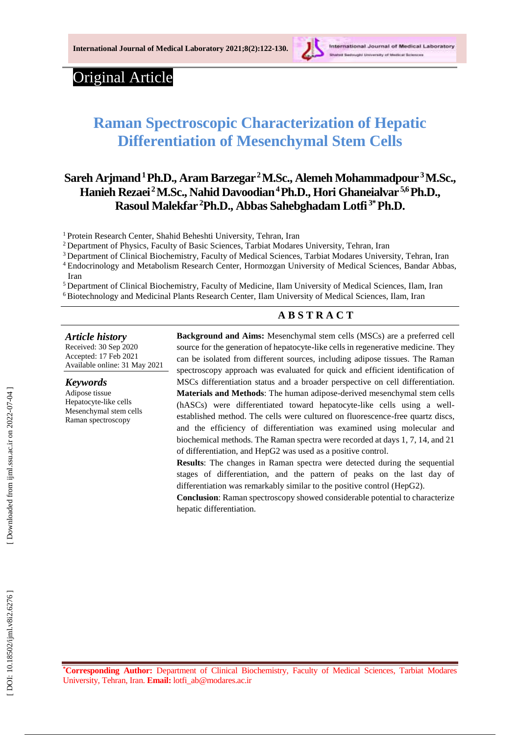

International Journal of Medical Laboratory

# Original Article

# **Raman Spectroscopic Characterization of Hepatic Differentiation of Mesenchymal Stem Cells**

# **Sareh Arjmand<sup>1</sup>Ph.D., Aram Barzegar<sup>2</sup> M .Sc., Alemeh Mohammadpour <sup>3</sup>M.Sc., Hanieh Rezaei <sup>2</sup>M.Sc., Nahid Davoodian<sup>4</sup>Ph.D., Hori Ghaneialvar 5,6 Ph.D., Rasoul Malekfar <sup>2</sup>Ph.D. , Abbas Sahebghadam Lotfi 3 \*Ph.D.**

<sup>1</sup> Protein Research Center, Shahid Beheshti University, Tehran, Iran

<sup>2</sup> Department of Physics, Faculty of Basic Sciences, Tarbiat Modares University, Tehran, Iran

<sup>3</sup> Department of Clinical Biochemistry, Faculty of Medical Sciences, Tarbiat Modares University, Tehran, Iran

<sup>4</sup> Endocrinology and Metabolism Research Center, Hormozgan University of Medical Sciences, Bandar Abbas, Iran

<sup>5</sup> Department of Clinical Biochemistry, Faculty of Medicine, Ilam University of Medical Sciences, Ilam, Iran <sup>6</sup> Biotechnology and Medicinal Plants Research Center, Ilam University of Medical Sciences, Ilam, Iran

#### **A B S T R A C T**

*Article history*

Received: 3 0 Sep 2020 Accepted : 17 Feb 202 1 Available online : 31 May 20 2 1

*Keywords* Adipose tissue Hepatocyte -like cells Mesenchymal stem cells Raman spectroscopy

**Background and Aims:** Mesenchymal stem cells (MSCs) are a preferred cell source for the generation of hepatocyte -like cells in regenerative medicine. They can be isolated from different sources, including adipose tissues. The Raman spectroscopy approach was evaluated for quick and efficient identification of MSCs differentiation status and a broader perspective on cell differentiation. Materials and Methods: The human adipose-derived mesenchymal stem cells (hASCs) were differentiated toward hepatocyte -like cells using a well established method. The cells were cultured on fluorescence -free quartz discs, and the efficiency of differentiation was examined using molecular and biochemical methods. The Raman spectra were recorded at days 1, 7, 14, and 21 of differentiation, and HepG2 was used as a positive control.

**Results**: The changes in Raman spectra were detected during the sequential stages of differentiation, and the pattern of peaks on the last day of differentiation was remarkably similar to the positive control (HepG2).

**Conclusion**: Raman spectroscopy showed considerable potential to characterize hepatic differentiation.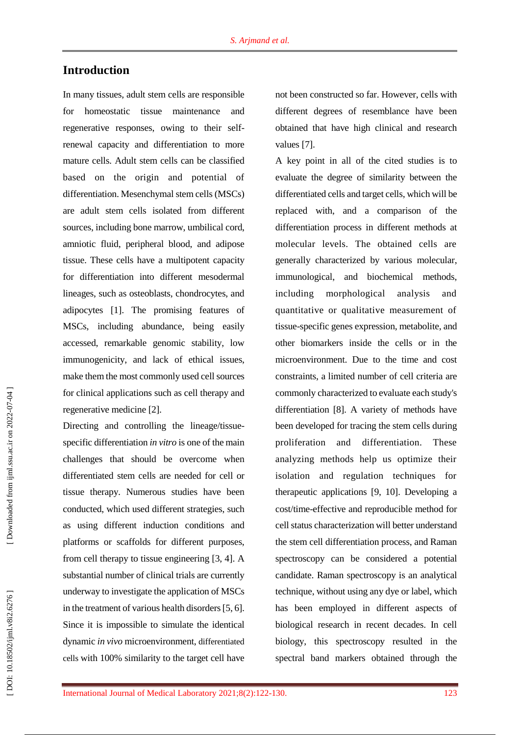# **Introduction**

In many tissues, adult stem cells are responsible for homeostatic tissue maintenance and regenerative responses, owing to their selfrenewal capacity and differentiation to more mature cells. Adult stem cells can be classified based on the origin and potential of differentiation. Mesenchymal stem cells (MSCs) are adult stem cells isolated from different sources, including bone marrow, umbilical cord, amniotic fluid, peripheral blood, and adipose tissue. These cells have a multipotent capacity for differentiation into different mesodermal lineages, such as osteoblasts, chondrocytes, and adipocytes [1]. The promising features of MSCs, including abundance, being easily accessed, remarkable genomic stability, low immunogenicity, and lack of ethical issues, make them the most commonly used cell sources for clinical applications such as cell therapy and regenerative medicine [2].

Directing and controlling the lineage/tissue specific differentiation *in vitro* is one of the main challenges that should be overcome when differentiated stem cells are needed for cell or tissue therapy. Numerous studies have been conducted, which used different strategies, such as using different induction conditions and platforms or scaffolds for different purposes, from cell therapy to tissue engineering [3, 4]. A substantial number of clinical trials are currently underway to investigate the application of MSCs in the treatment of various health disorders [5, 6]. Since it is impossible to simulate the identical dynamic *in vivo* microenvironment, differentiated cells with 100% similarity to the target cell have not been constructed so far. However, cells with different degrees of resemblance have been obtained that have high clinical and research values [7].

A key point in all of the cited studies is to evaluate the degree of similarity between the differentiated cells and target cells, which will be replaced with, and a comparison of the differentiation process in different methods at molecular levels. The obtained cells are generally characterized by various molecular, immunological, and biochemical methods, including morphological analysis and quantitative or qualitative measurement of tissue -specific genes expression, metabolite, and other biomarkers inside the cells or in the microenvironment. Due to the time and cost constraints, a limited number of cell criteria are commonly characterized to evaluate each study's differentiation [8]. A variety of methods have been developed for tracing the stem cells during proliferation and differentiation. These analyzing methods help us optimize their isolation and regulation techniques for therapeutic applications [9, 10] . Developing a cost/time -effective and reproducible method for cell status characterization will better understand the stem cell differentiation process, and Raman spectroscopy can be considered a potential candidate. Raman spectroscopy is an analytical technique, without using any dye or label, which has been employed in different aspects of biological research in recent decades. In cell biology, this spectroscopy resulted in the spectral band markers obtained through the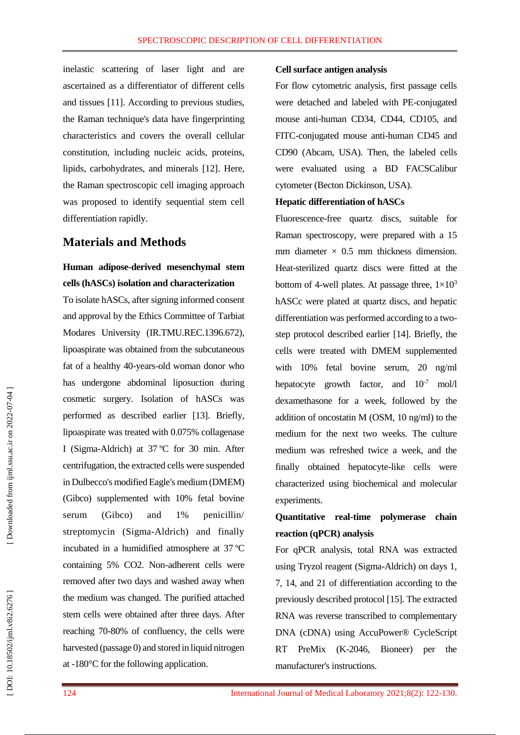inelastic scattering of laser light and are ascertained as a differentiator of different cells and tissues [11]. According to previous studies, the Raman technique's data have fingerprinting characteristics and covers the overall cellular constitution, including nucleic acids, proteins, lipids, carbohydrates, and minerals [12]. Here, the Raman spectroscopic cell imaging approach was proposed to identify sequential stem cell differentiation rapidly.

## **Materials and Methods**

# **Human adipose -derived mesenchymal stem cells (hASCs) isolation and characterization**

To isolate hASCs, after signing informed consent and approval by the Ethics Committee of Tarbiat Modares University (IR.TMU.REC.1396.672), lipoaspirate was obtained from the subcutaneous fat of a healthy 40 -years -old woman donor who has undergone abdominal liposuction during cosmetic surgery. Isolation of hASCs was performed as described earlier [13]. Briefly, lipoaspirate was treated with 0.075% collagenase I (Sigma -Aldrich) at 37 ºC for 30 min. After centrifugation, the extracted cells were suspended in Dulbecco's modified Eagle's medium (DMEM) (Gibco) supplemented with 10% fetal bovine serum (Gibco) and 1% penicillin/ streptomycin (Sigma -Aldrich) and finally incubated in a humidified atmosphere at 37 ºC containing 5% CO2. Non -adherent cells were removed after two days and washed away when the medium was changed. The purified attached stem cells were obtained after three days. After reaching 70 -80% of confluency, the cells were harvested (passage 0) and stored in liquid nitrogen at -180°C for the following application.

#### **Cell surface antigen analysis**

For flow cytometric analysis, first passage cells were detached and labeled with PE -conjugated mouse anti -human CD34, CD44, CD105, and FITC -conjugated mouse anti -human CD45 and CD90 (Abcam, USA). Then, the labeled cells were evaluated using a BD FACSCalibur cytometer (Becton Dickinson, USA).

#### **Hepatic differentiation of hASCs**

Fluorescence -free quartz discs, suitable for Raman spectroscopy, were prepared with a 15 mm diameter  $\times$  0.5 mm thickness dimension. Heat -sterilized quartz discs were fitted at the bottom of 4-well plates. At passage three,  $1\times10^3$ hASCc were plated at quartz discs, and hepatic differentiation was performed according to a twostep protocol described earlier [14]. Briefly, the cells were treated with DMEM supplemented with 10% fetal bovine serum, 20 ng/ml hepatocyte growth factor, and  $10^{-7}$  mol/l dexamethasone for a week, followed by the addition of oncostatin M (OSM, 10 ng/ml) to the medium for the next two weeks. The culture medium was refreshed twice a week, and the finally obtained hepatocyte -like cells were characterized using biochemical and molecular experiments.

# **Quantitative real -time polymerase chain reaction (qPCR) analysis**

For qPCR analysis, total RNA was extracted using Tryzol reagent (Sigma -Aldrich) on days 1, 7, 14, and 21 of differentiation according to the previously described protocol [15]. The extracted RNA was reverse transcribed to complementary DNA (cDNA) using AccuPower® CycleScript RT PreMix ( K Bioneer) per the manufacturer's instructions.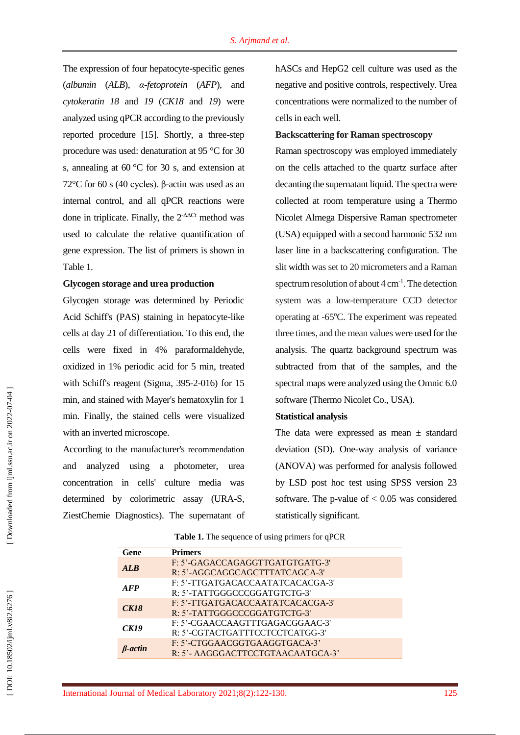The expression of four hepatocyte -specific genes (*albumin* (*ALB*), *α -fetoprotein*  (*AFP*), and *cytokeratin 18* and *19* (*CK18* and *19*) were analyzed using qPCR according to the previously reported procedure [15 ] . Shortly, a three -step procedure was used: denaturation at 95 °C for 30 s, annealing at 60 °C for 30 s, and extension at 72 $\degree$ C for 60 s (40 cycles). β-actin was used as an internal control, and all qPCR reactions were done in triplicate. Finally, the  $2$ - $\Delta$ ACt method was used to calculate the relative quantification of gene expression. The list of primers is shown in Table 1.

#### **Glycogen storage and urea production**

Glycogen storage was determined by Periodic Acid Schiff's (PAS) staining in hepatocyte -like cells at day 21 of differentiation. To this end, the cells were fixed in 4% paraformaldehyde, oxidized in 1% periodic acid for 5 min, treated with Schiff's reagent (Sigma, 395-2-016) for 15 min, and stained with Mayer's hematoxylin for 1 min. Finally, the stained cells were visualized with an inverted microscope.

According to the manufacturer's recommendation and analyzed using a photometer, urea concentration in cells' culture media was determined by colorimetric assay (URA -S, ZiestChemie Diagnostics). The supernatant of hASCs and HepG2 cell culture was used as the negative and positive controls, respectively. Urea concentrations were normalized to the number of cells in each well.

#### **Backscattering for Raman spectroscopy**

Raman spectroscopy was employed immediately on the cells attached to the quartz surface after decanting the supernatant liquid. The spectra were collected at room temperature using a Thermo Nicolet Almega Dispersive Raman spectrometer (USA) equipped with a second harmonic 532 nm laser line in a backscattering configuration. The slit width was set to 20 micrometers and a Raman spectrum resolution of about  $4 \text{ cm}^{-1}$ . The detection system was a low -temperature CCD detector operating at -65°C. The experiment was repeated three times, and the mean values were used for the analysis. The quartz background spectrum was subtracted from that of the samples, and the spectral maps were analyzed using the Omnic 6.0 software (Thermo Nicolet Co., USA).

#### **Statistical analysis**

The data were expressed as mean  $\pm$  standard deviation (SD). One -way analysis of variance (ANOVA) was performed for analysis followed by LSD post hoc test using SPSS version 23 software. The p-value of  $< 0.05$  was considered statistically significant.

| Gene        | <b>Primers</b>                    |
|-------------|-----------------------------------|
| ALR         | F: 5'-GAGACCAGAGGTTGATGTGATG-3'   |
|             | R: 5'-AGGCAGGCAGCTTTATCAGCA-3'    |
| <b>AFP</b>  | F: 5'-TTGATGACACCAATATCACACGA-3'  |
|             | R: 5'-TATTGGGCCCGGATGTCTG-3'      |
| <b>CK18</b> | F: 5'-TTGATGACACCAATATCACACGA-3'  |
|             | R: 5'-TATTGGGCCCGGATGTCTG-3'      |
| CK19        | F: 5'-CGAACCAAGTTTGAGACGGAAC-3'   |
|             | R: 5'-CGTACTGATTTCCTCCTCATGG-3'   |
| B-actin     | F: 5'-CTGGAACGGTGAAGGTGACA-3'     |
|             | R: 5'- AAGGGACTTCCTGTAACAATGCA-3' |

**Table 1.** The sequence of using primers for qPCR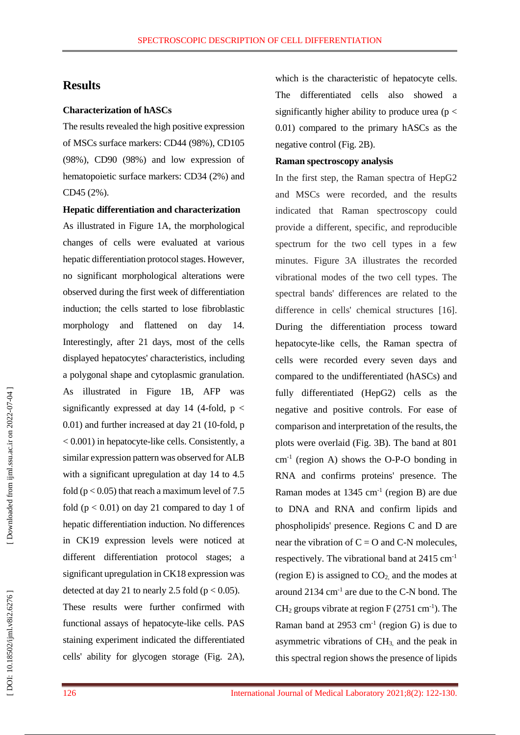### **Results**

#### **Characterization of hASCs**

The results revealed the high positive expression of MSCs surface markers: CD44 (98%), CD105 (98%), CD90 (98%) and low expression of hematopoietic surface markers: CD34 (2%) and CD45 (2%).

**Hepatic differentiation and characterization** 

As illustrated in Figure 1A, the morphological changes of cells were evaluated at various hepatic differentiation protocol stages. However, no significant morphological alterations were observed during the first week of differentiation induction; the cells started to lose fibroblastic morphology and flattened on day 14. Interestingly, after 21 days, most of the cells displayed hepatocytes' characteristics, including a polygonal shape and cytoplasmic granulation. As illustrated in Figure 1B, AFP was significantly expressed at day 14 (4-fold,  $p <$ 0.01) and further increased at day 21 (10 -fold, p < 0.001) in hepatocyte -like cells. Consistently, a similar expression pattern was observed for ALB with a significant upregulation at day 14 to 4.5 fold ( $p < 0.05$ ) that reach a maximum level of 7.5 fold ( $p < 0.01$ ) on day 21 compared to day 1 of hepatic differentiation induction. No differences in CK19 expression levels were noticed at different differentiation protocol stages; a significant upregulation in CK18 expression was detected at day 21 to nearly 2.5 fold ( $p < 0.05$ ).

These results were further confirmed with functional assays of hepatocyte -like cells. PAS staining experiment indicated the differentiated cells' ability for glycogen storage (Fig . 2A), which is the characteristic of hepatocyte cells. The differentiated cells also showed a significantly higher ability to produce urea ( $p <$ 0.01) compared to the primary hASCs as the negative control (Fig . 2B).

#### **Raman spectroscopy analysis**

In the first step, the Raman spectra of HepG2 and MSCs were recorded, and the results indicated that Raman spectroscopy could provide a different, specific, and reproducible spectrum for the two cell types in a few minutes. Figure 3A illustrates the recorded vibrational modes of the two cell types. The spectral bands' differences are related to the difference in cells' chemical structures [16]. During the differentiation process toward hepatocyte -like cells, the Raman spectra of cells were recorded every seven days and compared to the undifferentiated (hASCs) and fully differentiated (HepG2) cells as the negative and positive controls. For ease of comparison and interpretation of the results, the plots were overlaid (Fig. 3B). The band at 801  $cm<sup>-1</sup>$  (region A) shows the O-P-O bonding in RNA and confirms proteins' presence. The Raman modes at 1345 cm - 1 (region B) are due to DNA and RNA and confirm lipids and phospholipids' presence. Regions C and D are near the vibration of  $C = O$  and C-N molecules, respectively. The vibrational band at 2415 cm<sup>-1</sup> (region E) is assigned to  $CO<sub>2</sub>$  and the modes at around 2134 cm - 1 are due to the C -N bond. The  $CH<sub>2</sub>$  groups vibrate at region F (2751 cm<sup>-1</sup>). The Raman band at  $2953 \text{ cm}^{-1}$  (region G) is due to asymmetric vibrations of  $CH<sub>3</sub>$  and the peak in this spectral region shows the presence of lipids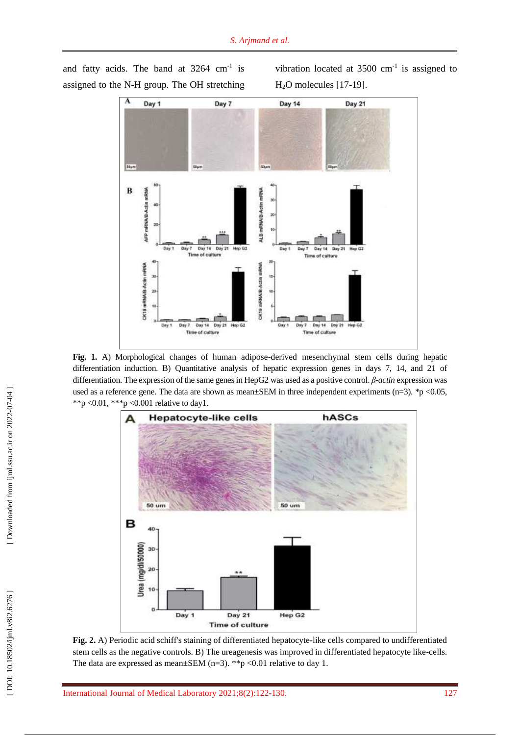

and fatty acids. The band at  $3264 \text{ cm}^{-1}$  is assigned to the N -H group. The OH stretching vibration located at  $3500 \text{ cm}^{-1}$  is assigned to  $H<sub>2</sub>O$  molecules [17-19].

**Fig . 1.** A) Morphological changes of human adipose -derived mesenchymal stem cells during hepatic differentiation induction. B) Quantitative analysis of hepatic expression genes in days 7, 14, and 21 of differentiation. The expression of the same genes in HepG2 was used as a positive control. *β -actin* expression was used as a reference gene. The data are shown as mean $\pm$ SEM in three independent experiments (n=3). \*p <0.05, \*\*p < 0.01, \*\*\*p < 0.001 relative to day 1.



**Fig . 2.** A) Periodic acid schiff's staining of differentiated hepatocyte -like cells compared to undifferentiated stem cells as the negative controls. B) The ureagenesis was improved in differentiated hepatocyte like -cells. The data are expressed as mean $\pm$ SEM (n=3). \*\*p <0.01 relative to day 1.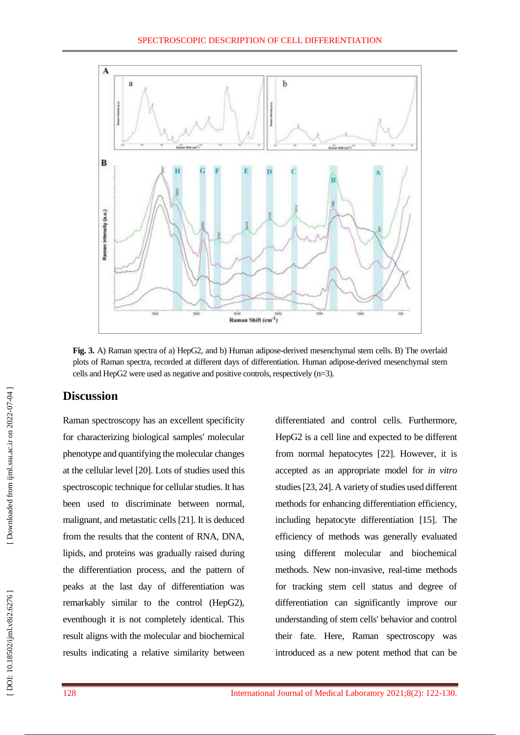

**Fig. 3.** A) Raman spectra of a) HepG2, and b) Human adipose -derived mesenchymal stem cells. B) The overlaid plots of Raman spectra, recorded at different days of differentiation. Human adipose -derived mesenchymal stem cells and HepG2 were used as negative and positive controls, respectively (n=3).

# **Discussion**

Raman spectroscopy has an excellent specificity for characterizing biological samples' molecular phenotype and quantifying the molecular changes at the cellular level [20 ]. Lots of studies used this spectroscopic technique for cellular studies. It has been used to discriminate between normal, malignant, and metastatic cells [2 1 ] . It is deduced from the results that the content of RNA, DNA, lipids, and proteins was gradually raised during the differentiation process, and the pattern of peaks at the last day of differentiation was remarkably similar to the control (HepG2), eventhough it is not completely identical. This result aligns with the molecular and biochemical results indicating a relative similarity between

differentiated and control cells. Furthermore, HepG2 is a cell line and expected to be different from normal hepatocytes [2 2 ]. However, it is accepted as an appropriate model for *in vitro*  studies [2 3, 2 4 ]. A variety of studies used different methods for enhancing differentiation efficiency, including hepatocyte differentiation [15 ]. The efficiency of methods was generally evaluated using different molecular and biochemical methods. New non -invasive, real -time methods for tracking stem cell status and degree of differentiation can significantly improve our understanding of stem cells' behavior and control their fate. Here, Raman spectroscopy was introduced as a new potent method that can be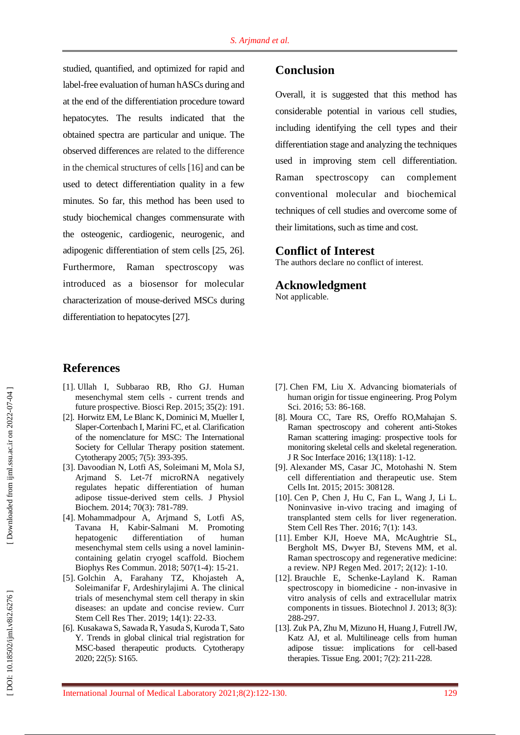studied, quantified, and optimized for rapid and label -free evaluation of human hASCs during and at the end of the differentiation procedure toward hepatocytes. The results indicated that the obtained spectra are particular and unique. The observed differences are related to the difference in the chemical structures of cells [1 6 ] and can be used to detect differentiation quality in a few minutes. So far, this method has been used to study biochemical changes commensurate with the osteogenic, cardiogenic, neurogenic, and adipogenic differentiation of stem cells [2 5, 2 6 ] . Furthermore, Raman spectroscopy was introduced as a biosensor for molecular characterization of mouse-derived MSCs during differentiation to hepatocytes [27].

### **References**

- [1]. Ullah I, Subbarao RB, Rho GJ. Human mesenchymal stem cells - current trends and future prospective. Biosci Rep . 2015; 35(2): 191 .
- [ 2]. Horwitz EM, Le Blanc K, Dominici M, Mueller I, Slaper -Cortenbach I, Marini FC, et al. Clarification of the nomenclature for MSC: The International Society for Cellular Therapy position statement. Cytotherapy 2005; 7(5): 393 -395.
- [ 3]. Davoodian N, Lotfi AS, Soleimani M, Mola SJ, Arjmand S. Let -7f microRNA negatively regulates hepatic differentiation of human adipose tissue -derived stem cells. J Physiol Biochem . 2014; 70(3): 781 -789.
- [ 4]. Mohammadpour A, Arjmand S, Lotfi AS, Tavana H, Kabir-Salmani M. Promoting hepatogenic differentiation of human mesenchymal stem cells using a novel laminin containing gelatin cryogel scaffold. Biochem Biophys Res Commun . 2018; 507(1 -4): 15 -21.
- [ 5]. Golchin A, Farahany TZ, Khojasteh A, Soleimanifar F, Ardeshirylajimi A. The clinical trials of mesenchymal stem cell therapy in skin diseases: an update and concise review. Curr Stem Cell Res Ther . 2019; 14(1): 22 -33.
- [ 6]. Kusakawa S, Sawada R, Yasuda S, Kuroda T, Sato Y. Trends in global clinical trial registration for MSC -based therapeutic products. Cytotherapy 2020; 22(5): S165.

# **Conclusion**

Overall, it is suggested that this method has considerable potential in various cell studies, including identifying the cell types and their differentiation stage and analyzing the techniques used in improving stem cell differentiation. Raman spectroscopy can complement conventional molecular and biochemical techniques of cell studies and overcome some of their limitations, such as time and cost.

## **Conflict of Interest**

The authors declare no conflict of interest.

### **Acknowledgment**

Not applicable.

- [ 7]. Chen FM, Liu X. Advancing biomaterials of human origin for tissue engineering. Prog Polym Sci. 2016; 53: 86-168.
- [ 8]. Moura CC, Tare RS, Oreffo RO,Mahajan S. Raman spectroscopy and coherent anti -Stokes Raman scattering imaging: prospective tools for monitoring skeletal cells and skeletal regeneration. J R Soc Interface 2016; 13(118): 1 -12 .
- [ 9]. Alexander MS, Casar JC, Motohashi N. Stem cell differentiation and therapeutic use. Stem Cells Int . 2015; 2015: 308128.
- [10]. Cen P, Chen J, Hu C, Fan L, Wang J, Li L. Noninvasive in -vivo tracing and imaging of transplanted stem cells for liver regeneration. Stem Cell Res Ther . 2016; 7(1): 143.
- [11]. Ember KJI, Hoeve MA, McAughtrie SL, Bergholt MS, Dwyer BJ, Stevens MM, et al. Raman spectroscopy and regenerative medicine: a review. NPJ Regen Med. 2017; 2(12): 1-10.
- [12]. Brauchle E, Schenke -Layland K. Raman spectroscopy in biomedicine - non-invasive in vitro analysis of cells and extracellular matrix components in tissues. Biotechnol J . 2013; 8(3): 28 8 -297.
- [13]. Zuk PA, Zhu M, Mizuno H, Huang J, Futrell JW, Katz AJ, et al. Multilineage cells from human adipose tissue: implications for cell -based therapies. Tissue Eng . 2001; 7(2): 211 -228.